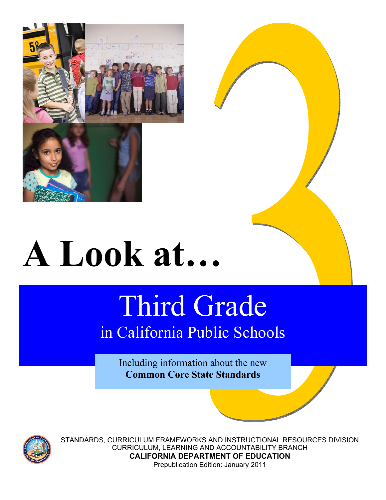

# **A Look at…**

# Third Grade in California Public Schools

Including information about the new **Common Core State Standards**



STANDARDS, CURRICULUM FRAMEWORKS AND INSTRUCTIONAL RESOURCES DIVISION CURRICULUM, LEARNING AND ACCOUNTABILITY BRANCH **CALIFORNIA DEPARTMENT OF EDUCATION**  Prepublication Edition: January 2011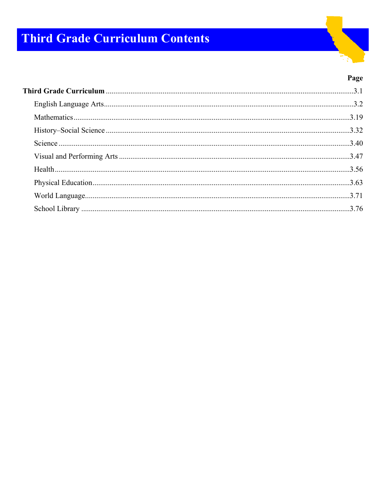# **Third Grade Curriculum Contents**



## Page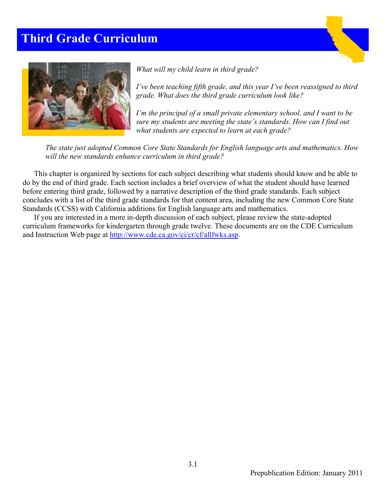# **Third Grade Curriculum**





*What will my child learn in third grade?* 

*I've been teaching fifth grade, and this year I've been reassigned to third grade. What does the third grade curriculum look like?* 

*I'm the principal of a small private elementary school, and I want to be sure my students are meeting the state's standards. How can I find out what students are expected to learn at each grade?* 

*The state just adopted Common Core State Standards for English language arts and mathematics. How will the new standards enhance curriculum in third grade?* 

This chapter is organized by sections for each subject describing what students should know and be able to do by the end of third grade. Each section includes a brief overview of what the student should have learned before entering third grade, followed by a narrative description of the third grade standards. Each subject concludes with a list of the third grade standards for that content area, including the new Common Core State Standards (CCSS) with California additions for English language arts and mathematics.

If you are interested in a more in-depth discussion of each subject, please review the state-adopted curriculum frameworks for kindergarten through grade twelve. These documents are on the CDE Curriculum and Instruction Web page at http://www.cde.ca.gov/ci/cr/cf/allfwks.asp.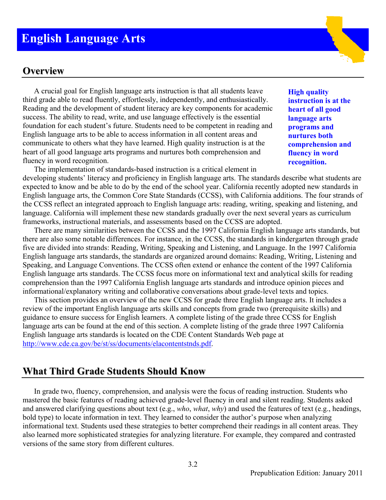# **English Language Arts**

# **Overview**

A crucial goal for English language arts instruction is that all students leave third grade able to read fluently, effortlessly, independently, and enthusiastically. Reading and the development of student literacy are key components for academic success. The ability to read, write, and use language effectively is the essential foundation for each student's future. Students need to be competent in reading and English language arts to be able to access information in all content areas and communicate to others what they have learned. High quality instruction is at the heart of all good language arts programs and nurtures both comprehension and fluency in word recognition.

**High quality instruction is at the heart of all good language arts programs and nurtures both comprehension and fluency in word recognition.** 

The implementation of standards-based instruction is a critical element in developing students' literacy and proficiency in English language arts. The standards describe what students are expected to know and be able to do by the end of the school year. California recently adopted new standards in English language arts, the Common Core State Standards (CCSS), with California additions. The four strands of the CCSS reflect an integrated approach to English language arts: reading, writing, speaking and listening, and language. California will implement these new standards gradually over the next several years as curriculum frameworks, instructional materials, and assessments based on the CCSS are adopted.

There are many similarities between the CCSS and the 1997 California English language arts standards, but there are also some notable differences. For instance, in the CCSS, the standards in kindergarten through grade five are divided into strands: Reading, Writing, Speaking and Listening, and Language. In the 1997 California English language arts standards, the standards are organized around domains: Reading, Writing, Listening and Speaking, and Language Conventions. The CCSS often extend or enhance the content of the 1997 California English language arts standards. The CCSS focus more on informational text and analytical skills for reading comprehension than the 1997 California English language arts standards and introduce opinion pieces and informational/explanatory writing and collaborative conversations about grade-level texts and topics.

This section provides an overview of the new CCSS for grade three English language arts. It includes a review of the important English language arts skills and concepts from grade two (prerequisite skills) and guidance to ensure success for English learners. A complete listing of the grade three CCSS for English language arts can be found at the end of this section. A complete listing of the grade three 1997 California English language arts standards is located on the CDE Content Standards Web page at http://www.cde.ca.gov/be/st/ss/documents/elacontentstnds.pdf.

## **What Third Grade Students Should Know**

In grade two, fluency, comprehension, and analysis were the focus of reading instruction. Students who mastered the basic features of reading achieved grade-level fluency in oral and silent reading. Students asked and answered clarifying questions about text (e.g., *who*, *what*, *why*) and used the features of text (e.g., headings, bold type) to locate information in text. They learned to consider the author's purpose when analyzing informational text. Students used these strategies to better comprehend their readings in all content areas. They also learned more sophisticated strategies for analyzing literature. For example, they compared and contrasted versions of the same story from different cultures.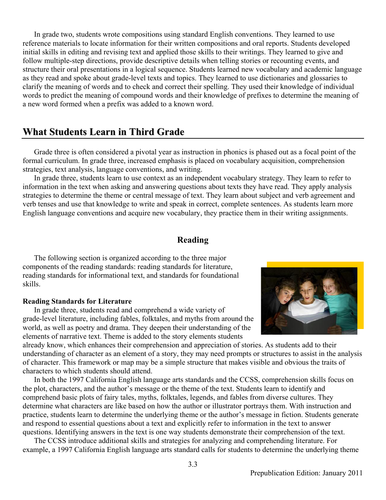In grade two, students wrote compositions using standard English conventions. They learned to use reference materials to locate information for their written compositions and oral reports. Students developed initial skills in editing and revising text and applied those skills to their writings. They learned to give and follow multiple-step directions, provide descriptive details when telling stories or recounting events, and structure their oral presentations in a logical sequence. Students learned new vocabulary and academic language as they read and spoke about grade-level texts and topics. They learned to use dictionaries and glossaries to clarify the meaning of words and to check and correct their spelling. They used their knowledge of individual words to predict the meaning of compound words and their knowledge of prefixes to determine the meaning of a new word formed when a prefix was added to a known word.

# **What Students Learn in Third Grade**

Grade three is often considered a pivotal year as instruction in phonics is phased out as a focal point of the formal curriculum. In grade three, increased emphasis is placed on vocabulary acquisition, comprehension strategies, text analysis, language conventions, and writing.

In grade three, students learn to use context as an independent vocabulary strategy. They learn to refer to information in the text when asking and answering questions about texts they have read. They apply analysis strategies to determine the theme or central message of text. They learn about subject and verb agreement and verb tenses and use that knowledge to write and speak in correct, complete sentences. As students learn more English language conventions and acquire new vocabulary, they practice them in their writing assignments.

#### **Reading**

The following section is organized according to the three major components of the reading standards: reading standards for literature, reading standards for informational text, and standards for foundational skills.

#### **Reading Standards for Literature**

In grade three, students read and comprehend a wide variety of grade-level literature, including fables, folktales, and myths from around the world, as well as poetry and drama. They deepen their understanding of the elements of narrative text. Theme is added to the story elements students

already know, which enhances their comprehension and appreciation of stories. As students add to their understanding of character as an element of a story, they may need prompts or structures to assist in the analysis of character. This framework or map may be a simple structure that makes visible and obvious the traits of characters to which students should attend.

In both the 1997 California English language arts standards and the CCSS, comprehension skills focus on the plot, characters, and the author's message or the theme of the text. Students learn to identify and comprehend basic plots of fairy tales, myths, folktales, legends, and fables from diverse cultures. They determine what characters are like based on how the author or illustrator portrays them. With instruction and practice, students learn to determine the underlying theme or the author's message in fiction. Students generate and respond to essential questions about a text and explicitly refer to information in the text to answer questions. Identifying answers in the text is one way students demonstrate their comprehension of the text.

The CCSS introduce additional skills and strategies for analyzing and comprehending literature. For example, a 1997 California English language arts standard calls for students to determine the underlying theme

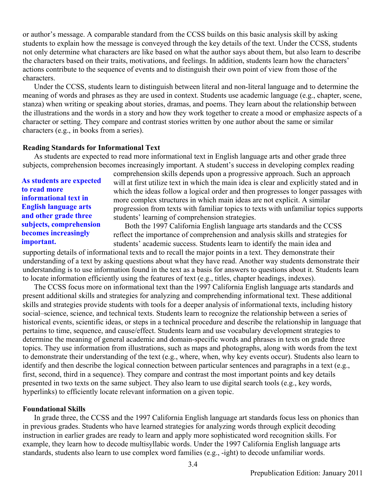or author's message. A comparable standard from the CCSS builds on this basic analysis skill by asking students to explain how the message is conveyed through the key details of the text. Under the CCSS, students not only determine what characters are like based on what the author says about them, but also learn to describe the characters based on their traits, motivations, and feelings. In addition, students learn how the characters' actions contribute to the sequence of events and to distinguish their own point of view from those of the characters.

Under the CCSS, students learn to distinguish between literal and non-literal language and to determine the meaning of words and phrases as they are used in context. Students use academic language (e.g., chapter, scene, stanza) when writing or speaking about stories, dramas, and poems. They learn about the relationship between the illustrations and the words in a story and how they work together to create a mood or emphasize aspects of a character or setting. They compare and contrast stories written by one author about the same or similar characters (e.g., in books from a series).

#### **Reading Standards for Informational Text**

As students are expected to read more informational text in English language arts and other grade three subjects, comprehension becomes increasingly important. A student's success in developing complex reading

**As students are expected to read more informational text in English language arts and other grade three subjects, comprehension becomes increasingly important.** 

comprehension skills depends upon a progressive approach. Such an approach will at first utilize text in which the main idea is clear and explicitly stated and in which the ideas follow a logical order and then progresses to longer passages with more complex structures in which main ideas are not explicit. A similar progression from texts with familiar topics to texts with unfamiliar topics supports students' learning of comprehension strategies.

Both the 1997 California English language arts standards and the CCSS reflect the importance of comprehension and analysis skills and strategies for students' academic success. Students learn to identify the main idea and

supporting details of informational texts and to recall the major points in a text. They demonstrate their understanding of a text by asking questions about what they have read. Another way students demonstrate their understanding is to use information found in the text as a basis for answers to questions about it. Students learn to locate information efficiently using the features of text (e.g., titles, chapter headings, indexes).

The CCSS focus more on informational text than the 1997 California English language arts standards and present additional skills and strategies for analyzing and comprehending informational text. These additional skills and strategies provide students with tools for a deeper analysis of informational texts, including history social–science, science, and technical texts. Students learn to recognize the relationship between a series of historical events, scientific ideas, or steps in a technical procedure and describe the relationship in language that pertains to time, sequence, and cause/effect. Students learn and use vocabulary development strategies to determine the meaning of general academic and domain-specific words and phrases in texts on grade three topics. They use information from illustrations, such as maps and photographs, along with words from the text to demonstrate their understanding of the text (e.g., where, when, why key events occur). Students also learn to identify and then describe the logical connection between particular sentences and paragraphs in a text (e.g., first, second, third in a sequence). They compare and contrast the most important points and key details presented in two texts on the same subject. They also learn to use digital search tools (e.g., key words, hyperlinks) to efficiently locate relevant information on a given topic.

#### **Foundational Skills**

In grade three, the CCSS and the 1997 California English language art standards focus less on phonics than in previous grades. Students who have learned strategies for analyzing words through explicit decoding instruction in earlier grades are ready to learn and apply more sophisticated word recognition skills. For example, they learn how to decode multisyllabic words. Under the 1997 California English language arts standards, students also learn to use complex word families (e.g., -ight) to decode unfamiliar words.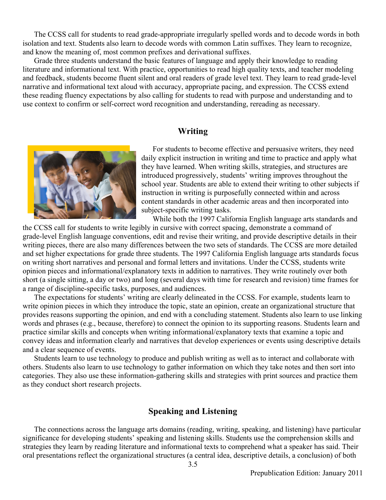The CCSS call for students to read grade-appropriate irregularly spelled words and to decode words in both isolation and text. Students also learn to decode words with common Latin suffixes. They learn to recognize, and know the meaning of, most common prefixes and derivational suffixes.

Grade three students understand the basic features of language and apply their knowledge to reading literature and informational text. With practice, opportunities to read high quality texts, and teacher modeling and feedback, students become fluent silent and oral readers of grade level text. They learn to read grade-level narrative and informational text aloud with accuracy, appropriate pacing, and expression. The CCSS extend these reading fluency expectations by also calling for students to read with purpose and understanding and to use context to confirm or self-correct word recognition and understanding, rereading as necessary.

#### **Writing**



For students to become effective and persuasive writers, they need daily explicit instruction in writing and time to practice and apply what they have learned. When writing skills, strategies, and structures are introduced progressively, students' writing improves throughout the school year. Students are able to extend their writing to other subjects if instruction in writing is purposefully connected within and across content standards in other academic areas and then incorporated into subject-specific writing tasks.

While both the 1997 California English language arts standards and

the CCSS call for students to write legibly in cursive with correct spacing, demonstrate a command of grade-level English language conventions, edit and revise their writing, and provide descriptive details in their writing pieces, there are also many differences between the two sets of standards. The CCSS are more detailed and set higher expectations for grade three students. The 1997 California English language arts standards focus on writing short narratives and personal and formal letters and invitations. Under the CCSS, students write opinion pieces and informational/explanatory texts in addition to narratives. They write routinely over both short (a single sitting, a day or two) and long (several days with time for research and revision) time frames for a range of discipline-specific tasks, purposes, and audiences.

The expectations for students' writing are clearly delineated in the CCSS. For example, students learn to write opinion pieces in which they introduce the topic, state an opinion, create an organizational structure that provides reasons supporting the opinion, and end with a concluding statement. Students also learn to use linking words and phrases (e.g., because, therefore) to connect the opinion to its supporting reasons. Students learn and practice similar skills and concepts when writing informational/explanatory texts that examine a topic and convey ideas and information clearly and narratives that develop experiences or events using descriptive details and a clear sequence of events.

Students learn to use technology to produce and publish writing as well as to interact and collaborate with others. Students also learn to use technology to gather information on which they take notes and then sort into categories. They also use these information-gathering skills and strategies with print sources and practice them as they conduct short research projects.

#### **Speaking and Listening**

The connections across the language arts domains (reading, writing, speaking, and listening) have particular significance for developing students' speaking and listening skills. Students use the comprehension skills and strategies they learn by reading literature and informational texts to comprehend what a speaker has said. Their oral presentations reflect the organizational structures (a central idea, descriptive details, a conclusion) of both

3.5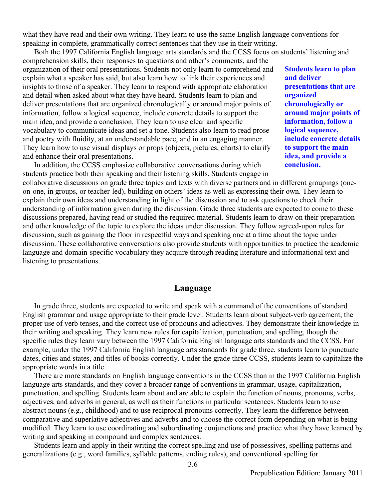what they have read and their own writing. They learn to use the same English language conventions for speaking in complete, grammatically correct sentences that they use in their writing.

Both the 1997 California English language arts standards and the CCSS focus on students' listening and

comprehension skills, their responses to questions and other's comments, and the organization of their oral presentations. Students not only learn to comprehend and explain what a speaker has said, but also learn how to link their experiences and insights to those of a speaker. They learn to respond with appropriate elaboration and detail when asked about what they have heard. Students learn to plan and deliver presentations that are organized chronologically or around major points of information, follow a logical sequence, include concrete details to support the main idea, and provide a conclusion. They learn to use clear and specific vocabulary to communicate ideas and set a tone. Students also learn to read prose and poetry with fluidity, at an understandable pace, and in an engaging manner. They learn how to use visual displays or props (objects, pictures, charts) to clarify and enhance their oral presentations.

In addition, the CCSS emphasize collaborative conversations during which students practice both their speaking and their listening skills. Students engage in **Students learn to plan and deliver presentations that are organized chronologically or around major points of information, follow a logical sequence, include concrete details to support the main idea, and provide a conclusion.**

collaborative discussions on grade three topics and texts with diverse partners and in different groupings (oneon-one, in groups, or teacher-led), building on others' ideas as well as expressing their own. They learn to explain their own ideas and understanding in light of the discussion and to ask questions to check their understanding of information given during the discussion. Grade three students are expected to come to these discussions prepared, having read or studied the required material. Students learn to draw on their preparation and other knowledge of the topic to explore the ideas under discussion. They follow agreed-upon rules for discussion, such as gaining the floor in respectful ways and speaking one at a time about the topic under discussion. These collaborative conversations also provide students with opportunities to practice the academic language and domain-specific vocabulary they acquire through reading literature and informational text and listening to presentations.

#### **Language**

In grade three, students are expected to write and speak with a command of the conventions of standard English grammar and usage appropriate to their grade level. Students learn about subject-verb agreement, the proper use of verb tenses, and the correct use of pronouns and adjectives. They demonstrate their knowledge in their writing and speaking. They learn new rules for capitalization, punctuation, and spelling, though the specific rules they learn vary between the 1997 California English language arts standards and the CCSS. For example, under the 1997 California English language arts standards for grade three, students learn to punctuate dates, cities and states, and titles of books correctly. Under the grade three CCSS, students learn to capitalize the appropriate words in a title.

There are more standards on English language conventions in the CCSS than in the 1997 California English language arts standards, and they cover a broader range of conventions in grammar, usage, capitalization, punctuation, and spelling. Students learn about and are able to explain the function of nouns, pronouns, verbs, adjectives, and adverbs in general, as well as their functions in particular sentences. Students learn to use abstract nouns (e.g., childhood) and to use reciprocal pronouns correctly. They learn the difference between comparative and superlative adjectives and adverbs and to choose the correct form depending on what is being modified. They learn to use coordinating and subordinating conjunctions and practice what they have learned by writing and speaking in compound and complex sentences.

Students learn and apply in their writing the correct spelling and use of possessives, spelling patterns and generalizations (e.g., word families, syllable patterns, ending rules), and conventional spelling for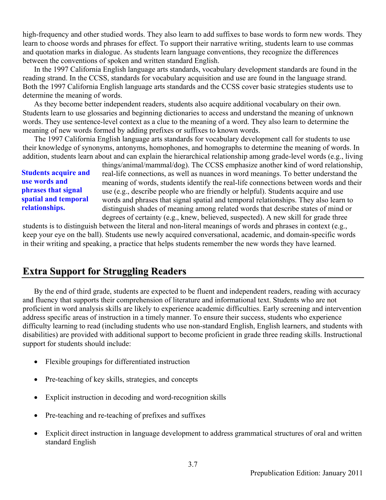high-frequency and other studied words. They also learn to add suffixes to base words to form new words. They learn to choose words and phrases for effect. To support their narrative writing, students learn to use commas and quotation marks in dialogue. As students learn language conventions, they recognize the differences between the conventions of spoken and written standard English.

In the 1997 California English language arts standards, vocabulary development standards are found in the reading strand. In the CCSS, standards for vocabulary acquisition and use are found in the language strand. Both the 1997 California English language arts standards and the CCSS cover basic strategies students use to determine the meaning of words.

As they become better independent readers, students also acquire additional vocabulary on their own. Students learn to use glossaries and beginning dictionaries to access and understand the meaning of unknown words. They use sentence-level context as a clue to the meaning of a word. They also learn to determine the meaning of new words formed by adding prefixes or suffixes to known words.

The 1997 California English language arts standards for vocabulary development call for students to use their knowledge of synonyms, antonyms, homophones, and homographs to determine the meaning of words. In addition, students learn about and can explain the hierarchical relationship among grade-level words (e.g., living

**Students acquire and use words and phrases that signal spatial and temporal relationships.** 

things/animal/mammal/dog). The CCSS emphasize another kind of word relationship, real-life connections, as well as nuances in word meanings. To better understand the meaning of words, students identify the real-life connections between words and their use (e.g., describe people who are friendly or helpful). Students acquire and use words and phrases that signal spatial and temporal relationships. They also learn to distinguish shades of meaning among related words that describe states of mind or degrees of certainty (e.g., knew, believed, suspected). A new skill for grade three

students is to distinguish between the literal and non-literal meanings of words and phrases in context (e.g., keep your eye on the ball). Students use newly acquired conversational, academic, and domain-specific words in their writing and speaking, a practice that helps students remember the new words they have learned.

# **Extra Support for Struggling Readers**

By the end of third grade, students are expected to be fluent and independent readers, reading with accuracy and fluency that supports their comprehension of literature and informational text. Students who are not proficient in word analysis skills are likely to experience academic difficulties. Early screening and intervention address specific areas of instruction in a timely manner. To ensure their success, students who experience difficulty learning to read (including students who use non-standard English, English learners, and students with disabilities) are provided with additional support to become proficient in grade three reading skills. Instructional support for students should include:

- Flexible groupings for differentiated instruction
- Pre-teaching of key skills, strategies, and concepts
- Explicit instruction in decoding and word-recognition skills
- Pre-teaching and re-teaching of prefixes and suffixes
- Explicit direct instruction in language development to address grammatical structures of oral and written standard English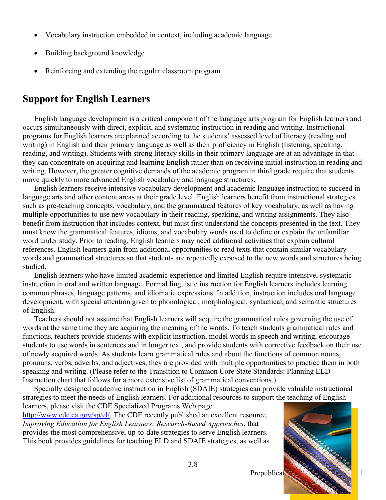- Vocabulary instruction embedded in context, including academic language
- Building background knowledge
- Reinforcing and extending the regular classroom program

# **Support for English Learners**

English language development is a critical component of the language arts program for English learners and occurs simultaneously with direct, explicit, and systematic instruction in reading and writing. Instructional programs for English learners are planned according to the students' assessed level of literacy (reading and writing) in English and their primary language as well as their proficiency in English (listening, speaking, reading, and writing). Students with strong literacy skills in their primary language are at an advantage in that they can concentrate on acquiring and learning English rather than on receiving initial instruction in reading and writing. However, the greater cognitive demands of the academic program in third grade require that students move quickly to more advanced English vocabulary and language structures.

English learners receive intensive vocabulary development and academic language instruction to succeed in language arts and other content areas at their grade level. English learners benefit from instructional strategies such as pre-teaching concepts, vocabulary, and the grammatical features of key vocabulary, as well as having multiple opportunities to use new vocabulary in their reading, speaking, and writing assignments. They also benefit from instruction that includes context, but must first understand the concepts presented in the text. They must know the grammatical features, idioms, and vocabulary words used to define or explain the unfamiliar word under study. Prior to reading, English learners may need additional activities that explain cultural references. English learners gain from additional opportunities to read texts that contain similar vocabulary words and grammatical structures so that students are repeatedly exposed to the new words and structures being studied.

English learners who have limited academic experience and limited English require intensive, systematic instruction in oral and written language. Formal linguistic instruction for English learners includes learning common phrases, language patterns, and idiomatic expressions. In addition, instruction includes oral language development, with special attention given to phonological, morphological, syntactical, and semantic structures of English.

Teachers should not assume that English learners will acquire the grammatical rules governing the use of words at the same time they are acquiring the meaning of the words. To teach students grammatical rules and functions, teachers provide students with explicit instruction, model words in speech and writing, encourage students to use words in sentences and in longer text, and provide students with corrective feedback on their use of newly acquired words. As students learn grammatical rules and about the functions of common nouns, pronouns, verbs, adverbs, and adjectives, they are provided with multiple opportunities to practice them in both speaking and writing. (Please refer to the Transition to Common Core State Standards: Planning ELD Instruction chart that follows for a more extensive list of grammatical conventions.)

Specially designed academic instruction in English (SDAIE) strategies can provide valuable instructional strategies to meet the needs of English learners. For additional resources to support the teaching of English learners, please visit the CDE Specialized Programs Web page

3.8

http://www.cde.ca.gov/sp/el/. The CDE recently published an excellent resource, *Improving Education for English Learners: Research-Based Approaches*, that provides the most comprehensive, up-to-date strategies to serve English learners. This book provides guidelines for teaching ELD and SDAIE strategies, as well as

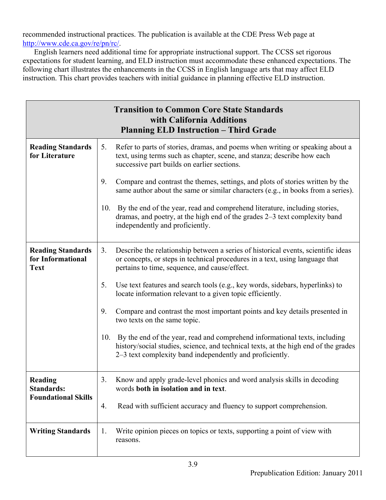recommended instructional practices. The publication is available at the CDE Press Web page at http://www.cde.ca.gov/re/pn/rc/.

English learners need additional time for appropriate instructional support. The CCSS set rigorous expectations for student learning, and ELD instruction must accommodate these enhanced expectations. The following chart illustrates the enhancements in the CCSS in English language arts that may affect ELD instruction. This chart provides teachers with initial guidance in planning effective ELD instruction.

|                                                              |     | <b>Transition to Common Core State Standards</b><br>with California Additions<br><b>Planning ELD Instruction - Third Grade</b>                                                                                                |
|--------------------------------------------------------------|-----|-------------------------------------------------------------------------------------------------------------------------------------------------------------------------------------------------------------------------------|
| <b>Reading Standards</b><br>for Literature                   | 5.  | Refer to parts of stories, dramas, and poems when writing or speaking about a<br>text, using terms such as chapter, scene, and stanza; describe how each<br>successive part builds on earlier sections.                       |
|                                                              | 9.  | Compare and contrast the themes, settings, and plots of stories written by the<br>same author about the same or similar characters (e.g., in books from a series).                                                            |
|                                                              | 10. | By the end of the year, read and comprehend literature, including stories,<br>dramas, and poetry, at the high end of the grades 2–3 text complexity band<br>independently and proficiently.                                   |
| <b>Reading Standards</b><br>for Informational<br><b>Text</b> | 3.  | Describe the relationship between a series of historical events, scientific ideas<br>or concepts, or steps in technical procedures in a text, using language that<br>pertains to time, sequence, and cause/effect.            |
|                                                              | 5.  | Use text features and search tools (e.g., key words, sidebars, hyperlinks) to<br>locate information relevant to a given topic efficiently.                                                                                    |
|                                                              | 9.  | Compare and contrast the most important points and key details presented in<br>two texts on the same topic.                                                                                                                   |
|                                                              | 10. | By the end of the year, read and comprehend informational texts, including<br>history/social studies, science, and technical texts, at the high end of the grades<br>2–3 text complexity band independently and proficiently. |
| Reading<br><b>Standards:</b>                                 | 3.  | Know and apply grade-level phonics and word analysis skills in decoding<br>words both in isolation and in text.                                                                                                               |
| <b>Foundational Skills</b>                                   | 4.  | Read with sufficient accuracy and fluency to support comprehension.                                                                                                                                                           |
| <b>Writing Standards</b>                                     | 1.  | Write opinion pieces on topics or texts, supporting a point of view with<br>reasons.                                                                                                                                          |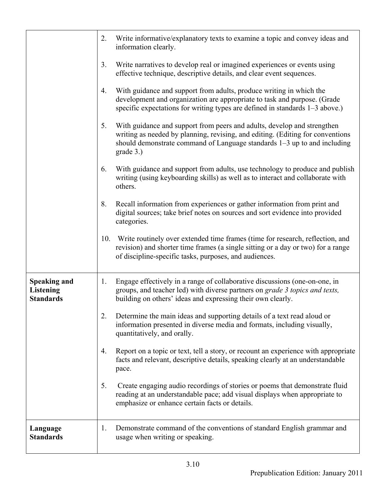|                                                             | 2.             | Write informative/explanatory texts to examine a topic and convey ideas and<br>information clearly.                                                                                                                                                |
|-------------------------------------------------------------|----------------|----------------------------------------------------------------------------------------------------------------------------------------------------------------------------------------------------------------------------------------------------|
|                                                             | 3 <sub>1</sub> | Write narratives to develop real or imagined experiences or events using<br>effective technique, descriptive details, and clear event sequences.                                                                                                   |
|                                                             | 4.             | With guidance and support from adults, produce writing in which the<br>development and organization are appropriate to task and purpose. (Grade<br>specific expectations for writing types are defined in standards 1–3 above.)                    |
|                                                             | 5.             | With guidance and support from peers and adults, develop and strengthen<br>writing as needed by planning, revising, and editing. (Editing for conventions<br>should demonstrate command of Language standards 1–3 up to and including<br>grade 3.) |
|                                                             | 6.             | With guidance and support from adults, use technology to produce and publish<br>writing (using keyboarding skills) as well as to interact and collaborate with<br>others.                                                                          |
|                                                             | 8.             | Recall information from experiences or gather information from print and<br>digital sources; take brief notes on sources and sort evidence into provided<br>categories.                                                                            |
|                                                             | 10.            | Write routinely over extended time frames (time for research, reflection, and<br>revision) and shorter time frames (a single sitting or a day or two) for a range<br>of discipline-specific tasks, purposes, and audiences.                        |
| <b>Speaking and</b><br><b>Listening</b><br><b>Standards</b> | 1.             | Engage effectively in a range of collaborative discussions (one-on-one, in<br>groups, and teacher led) with diverse partners on grade 3 topics and texts,<br>building on others' ideas and expressing their own clearly.                           |
|                                                             | 2.             | Determine the main ideas and supporting details of a text read aloud or<br>information presented in diverse media and formats, including visually,<br>quantitatively, and orally.                                                                  |
|                                                             | 4.             | Report on a topic or text, tell a story, or recount an experience with appropriate<br>facts and relevant, descriptive details, speaking clearly at an understandable<br>pace.                                                                      |
|                                                             | 5.             | Create engaging audio recordings of stories or poems that demonstrate fluid<br>reading at an understandable pace; add visual displays when appropriate to<br>emphasize or enhance certain facts or details.                                        |
| Language<br><b>Standards</b>                                | 1.             | Demonstrate command of the conventions of standard English grammar and<br>usage when writing or speaking.                                                                                                                                          |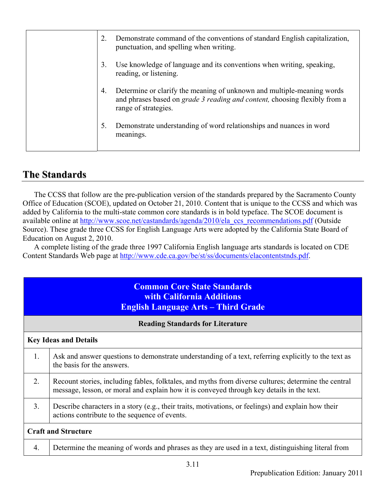| 2. | Demonstrate command of the conventions of standard English capitalization,<br>punctuation, and spelling when writing.                                                        |
|----|------------------------------------------------------------------------------------------------------------------------------------------------------------------------------|
| 3. | Use knowledge of language and its conventions when writing, speaking,<br>reading, or listening.                                                                              |
| 4. | Determine or clarify the meaning of unknown and multiple-meaning words<br>and phrases based on grade 3 reading and content, choosing flexibly from a<br>range of strategies. |
| 5. | Demonstrate understanding of word relationships and nuances in word<br>meanings.                                                                                             |

# **The Standards**

The CCSS that follow are the pre-publication version of the standards prepared by the Sacramento County Office of Education (SCOE), updated on October 21, 2010. Content that is unique to the CCSS and which was added by California to the multi-state common core standards is in bold typeface. The SCOE document is available online at http://www.scoe.net/castandards/agenda/2010/ela\_ccs\_recommendations.pdf (Outside Source). These grade three CCSS for English Language Arts were adopted by the California State Board of Education on August 2, 2010.

A complete listing of the grade three 1997 California English language arts standards is located on CDE Content Standards Web page at http://www.cde.ca.gov/be/st/ss/documents/elacontentstnds.pdf.

|                              | <b>Common Core State Standards</b><br><b>with California Additions</b><br><b>English Language Arts - Third Grade</b>                                                                              |  |
|------------------------------|---------------------------------------------------------------------------------------------------------------------------------------------------------------------------------------------------|--|
|                              | <b>Reading Standards for Literature</b>                                                                                                                                                           |  |
| <b>Key Ideas and Details</b> |                                                                                                                                                                                                   |  |
| 1.                           | Ask and answer questions to demonstrate understanding of a text, referring explicitly to the text as<br>the basis for the answers.                                                                |  |
| 2.                           | Recount stories, including fables, folktales, and myths from diverse cultures; determine the central<br>message, lesson, or moral and explain how it is conveyed through key details in the text. |  |
| 3 <sub>1</sub>               | Describe characters in a story (e.g., their traits, motivations, or feelings) and explain how their<br>actions contribute to the sequence of events.                                              |  |
| <b>Craft and Structure</b>   |                                                                                                                                                                                                   |  |
| $\overline{4}$ .             | Determine the meaning of words and phrases as they are used in a text, distinguishing literal from                                                                                                |  |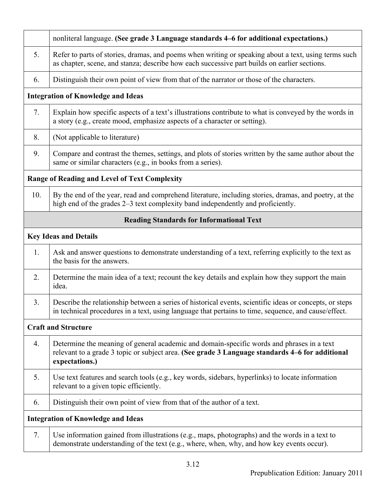|                            | nonliteral language. (See grade 3 Language standards 4–6 for additional expectations.)                                                                                                                          |  |
|----------------------------|-----------------------------------------------------------------------------------------------------------------------------------------------------------------------------------------------------------------|--|
| 5.                         | Refer to parts of stories, dramas, and poems when writing or speaking about a text, using terms such<br>as chapter, scene, and stanza; describe how each successive part builds on earlier sections.            |  |
| 6.                         | Distinguish their own point of view from that of the narrator or those of the characters.                                                                                                                       |  |
|                            | <b>Integration of Knowledge and Ideas</b>                                                                                                                                                                       |  |
| 7.                         | Explain how specific aspects of a text's illustrations contribute to what is conveyed by the words in<br>a story (e.g., create mood, emphasize aspects of a character or setting).                              |  |
| 8.                         | (Not applicable to literature)                                                                                                                                                                                  |  |
| 9.                         | Compare and contrast the themes, settings, and plots of stories written by the same author about the<br>same or similar characters (e.g., in books from a series).                                              |  |
|                            | <b>Range of Reading and Level of Text Complexity</b>                                                                                                                                                            |  |
| 10.                        | By the end of the year, read and comprehend literature, including stories, dramas, and poetry, at the<br>high end of the grades 2–3 text complexity band independently and proficiently.                        |  |
|                            | <b>Reading Standards for Informational Text</b>                                                                                                                                                                 |  |
|                            | <b>Key Ideas and Details</b>                                                                                                                                                                                    |  |
| 1.                         | Ask and answer questions to demonstrate understanding of a text, referring explicitly to the text as<br>the basis for the answers.                                                                              |  |
| 2.                         | Determine the main idea of a text; recount the key details and explain how they support the main<br>idea.                                                                                                       |  |
| 3.                         | Describe the relationship between a series of historical events, scientific ideas or concepts, or steps<br>in technical procedures in a text, using language that pertains to time, sequence, and cause/effect. |  |
| <b>Craft and Structure</b> |                                                                                                                                                                                                                 |  |
| 4.                         | Determine the meaning of general academic and domain-specific words and phrases in a text<br>relevant to a grade 3 topic or subject area. (See grade 3 Language standards 4–6 for additional<br>expectations.)  |  |
| 5.                         | Use text features and search tools (e.g., key words, sidebars, hyperlinks) to locate information<br>relevant to a given topic efficiently.                                                                      |  |
| 6.                         | Distinguish their own point of view from that of the author of a text.                                                                                                                                          |  |
|                            | <b>Integration of Knowledge and Ideas</b>                                                                                                                                                                       |  |
| 7.                         | Use information gained from illustrations (e.g., maps, photographs) and the words in a text to<br>demonstrate understanding of the text (e.g., where, when, why, and how key events occur).                     |  |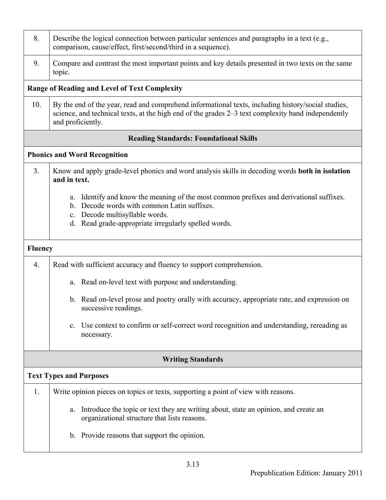| 8.             | Describe the logical connection between particular sentences and paragraphs in a text (e.g.,<br>comparison, cause/effect, first/second/third in a sequence).                                                                                    |  |  |
|----------------|-------------------------------------------------------------------------------------------------------------------------------------------------------------------------------------------------------------------------------------------------|--|--|
| 9.             | Compare and contrast the most important points and key details presented in two texts on the same<br>topic.                                                                                                                                     |  |  |
|                | <b>Range of Reading and Level of Text Complexity</b>                                                                                                                                                                                            |  |  |
| 10.            | By the end of the year, read and comprehend informational texts, including history/social studies,<br>science, and technical texts, at the high end of the grades 2–3 text complexity band independently<br>and proficiently.                   |  |  |
|                | <b>Reading Standards: Foundational Skills</b>                                                                                                                                                                                                   |  |  |
|                | <b>Phonics and Word Recognition</b>                                                                                                                                                                                                             |  |  |
| 3 <sub>1</sub> | Know and apply grade-level phonics and word analysis skills in decoding words <b>both in isolation</b><br>and in text.                                                                                                                          |  |  |
|                | Identify and know the meaning of the most common prefixes and derivational suffixes.<br>a.<br>Decode words with common Latin suffixes.<br>$b_{\cdot}$<br>c. Decode multisyllable words.<br>d. Read grade-appropriate irregularly spelled words. |  |  |
| <b>Fluency</b> |                                                                                                                                                                                                                                                 |  |  |
| 4.             | Read with sufficient accuracy and fluency to support comprehension.                                                                                                                                                                             |  |  |
|                | a. Read on-level text with purpose and understanding.                                                                                                                                                                                           |  |  |
|                | Read on-level prose and poetry orally with accuracy, appropriate rate, and expression on<br>b.<br>successive readings.                                                                                                                          |  |  |
|                | Use context to confirm or self-correct word recognition and understanding, rereading as<br>$c_{\cdot}$<br>necessary.                                                                                                                            |  |  |
|                | <b>Writing Standards</b>                                                                                                                                                                                                                        |  |  |
|                | <b>Text Types and Purposes</b>                                                                                                                                                                                                                  |  |  |
| 1.             | Write opinion pieces on topics or texts, supporting a point of view with reasons.                                                                                                                                                               |  |  |
|                | Introduce the topic or text they are writing about, state an opinion, and create an<br>a.<br>organizational structure that lists reasons.                                                                                                       |  |  |
|                | b. Provide reasons that support the opinion.                                                                                                                                                                                                    |  |  |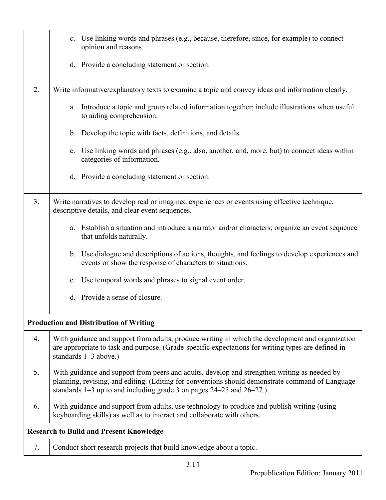|    | Use linking words and phrases (e.g., because, therefore, since, for example) to connect<br>$c_{\cdot}$<br>opinion and reasons.                                                                                                                                                  |
|----|---------------------------------------------------------------------------------------------------------------------------------------------------------------------------------------------------------------------------------------------------------------------------------|
|    | d. Provide a concluding statement or section.                                                                                                                                                                                                                                   |
| 2. | Write informative/explanatory texts to examine a topic and convey ideas and information clearly.                                                                                                                                                                                |
|    | a. Introduce a topic and group related information together; include illustrations when useful<br>to aiding comprehension.                                                                                                                                                      |
|    | b. Develop the topic with facts, definitions, and details.                                                                                                                                                                                                                      |
|    | c. Use linking words and phrases (e.g., also, another, and, more, but) to connect ideas within<br>categories of information.                                                                                                                                                    |
|    | d. Provide a concluding statement or section.                                                                                                                                                                                                                                   |
| 3. | Write narratives to develop real or imagined experiences or events using effective technique,<br>descriptive details, and clear event sequences.                                                                                                                                |
|    | Establish a situation and introduce a narrator and/or characters; organize an event sequence<br>a.<br>that unfolds naturally.                                                                                                                                                   |
|    | b. Use dialogue and descriptions of actions, thoughts, and feelings to develop experiences and<br>events or show the response of characters to situations.                                                                                                                      |
|    | c. Use temporal words and phrases to signal event order.                                                                                                                                                                                                                        |
|    | d. Provide a sense of closure.                                                                                                                                                                                                                                                  |
|    | <b>Production and Distribution of Writing</b>                                                                                                                                                                                                                                   |
| 4. | With guidance and support from adults, produce writing in which the development and organization<br>are appropriate to task and purpose. (Grade-specific expectations for writing types are defined in<br>standards $1-3$ above.)                                               |
| 5. | With guidance and support from peers and adults, develop and strengthen writing as needed by<br>planning, revising, and editing. (Editing for conventions should demonstrate command of Language<br>standards $1-3$ up to and including grade 3 on pages $24-25$ and $26-27$ .) |
| 6. | With guidance and support from adults, use technology to produce and publish writing (using<br>keyboarding skills) as well as to interact and collaborate with others.                                                                                                          |
|    | <b>Research to Build and Present Knowledge</b>                                                                                                                                                                                                                                  |
| 7. | Conduct short research projects that build knowledge about a topic.                                                                                                                                                                                                             |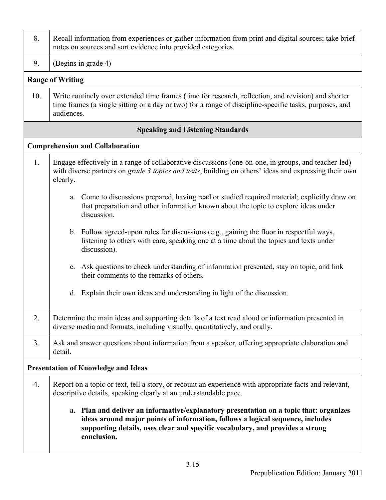| 8.  | Recall information from experiences or gather information from print and digital sources; take brief<br>notes on sources and sort evidence into provided categories.                                                                                                     |  |  |
|-----|--------------------------------------------------------------------------------------------------------------------------------------------------------------------------------------------------------------------------------------------------------------------------|--|--|
| 9.  | (Begins in grade 4)                                                                                                                                                                                                                                                      |  |  |
|     | <b>Range of Writing</b>                                                                                                                                                                                                                                                  |  |  |
| 10. | Write routinely over extended time frames (time for research, reflection, and revision) and shorter<br>time frames (a single sitting or a day or two) for a range of discipline-specific tasks, purposes, and<br>audiences.                                              |  |  |
|     | <b>Speaking and Listening Standards</b>                                                                                                                                                                                                                                  |  |  |
|     | <b>Comprehension and Collaboration</b>                                                                                                                                                                                                                                   |  |  |
| 1.  | Engage effectively in a range of collaborative discussions (one-on-one, in groups, and teacher-led)<br>with diverse partners on grade 3 topics and texts, building on others' ideas and expressing their own<br>clearly.                                                 |  |  |
|     | a. Come to discussions prepared, having read or studied required material; explicitly draw on<br>that preparation and other information known about the topic to explore ideas under<br>discussion.                                                                      |  |  |
|     | b. Follow agreed-upon rules for discussions (e.g., gaining the floor in respectful ways,<br>listening to others with care, speaking one at a time about the topics and texts under<br>discussion).                                                                       |  |  |
|     | c. Ask questions to check understanding of information presented, stay on topic, and link<br>their comments to the remarks of others.                                                                                                                                    |  |  |
|     | Explain their own ideas and understanding in light of the discussion.<br>d.                                                                                                                                                                                              |  |  |
| 2.  | Determine the main ideas and supporting details of a text read aloud or information presented in<br>diverse media and formats, including visually, quantitatively, and orally.                                                                                           |  |  |
| 3.  | Ask and answer questions about information from a speaker, offering appropriate elaboration and<br>detail.                                                                                                                                                               |  |  |
|     | <b>Presentation of Knowledge and Ideas</b>                                                                                                                                                                                                                               |  |  |
| 4.  | Report on a topic or text, tell a story, or recount an experience with appropriate facts and relevant,<br>descriptive details, speaking clearly at an understandable pace.                                                                                               |  |  |
|     | a. Plan and deliver an informative/explanatory presentation on a topic that: organizes<br>ideas around major points of information, follows a logical sequence, includes<br>supporting details, uses clear and specific vocabulary, and provides a strong<br>conclusion. |  |  |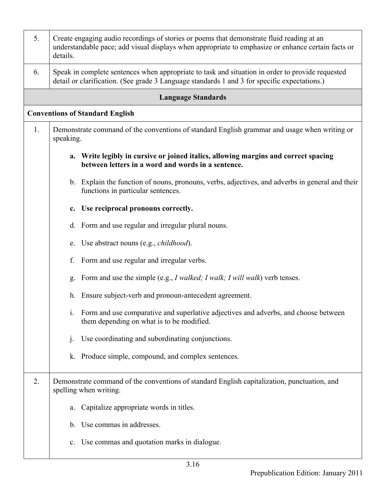| 5. | Create engaging audio recordings of stories or poems that demonstrate fluid reading at an<br>understandable pace; add visual displays when appropriate to emphasize or enhance certain facts or<br>details. |  |  |
|----|-------------------------------------------------------------------------------------------------------------------------------------------------------------------------------------------------------------|--|--|
| 6. | Speak in complete sentences when appropriate to task and situation in order to provide requested<br>detail or clarification. (See grade 3 Language standards 1 and 3 for specific expectations.)            |  |  |
|    | <b>Language Standards</b>                                                                                                                                                                                   |  |  |
|    | <b>Conventions of Standard English</b>                                                                                                                                                                      |  |  |
| 1. | Demonstrate command of the conventions of standard English grammar and usage when writing or<br>speaking.                                                                                                   |  |  |
|    | a. Write legibly in cursive or joined italics, allowing margins and correct spacing<br>between letters in a word and words in a sentence.                                                                   |  |  |
|    | b. Explain the function of nouns, pronouns, verbs, adjectives, and adverbs in general and their<br>functions in particular sentences.                                                                       |  |  |
|    | Use reciprocal pronouns correctly.<br>c.                                                                                                                                                                    |  |  |
|    | d. Form and use regular and irregular plural nouns.                                                                                                                                                         |  |  |
|    | e. Use abstract nouns (e.g., childhood).                                                                                                                                                                    |  |  |
|    | f.<br>Form and use regular and irregular verbs.                                                                                                                                                             |  |  |
|    | Form and use the simple (e.g., <i>I walked; I walk; I will walk</i> ) verb tenses.<br>g.                                                                                                                    |  |  |
|    | Ensure subject-verb and pronoun-antecedent agreement.<br>h.                                                                                                                                                 |  |  |
|    | i. Form and use comparative and superlative adjectives and adverbs, and choose between<br>them depending on what is to be modified.                                                                         |  |  |
|    | Use coordinating and subordinating conjunctions.<br>j.                                                                                                                                                      |  |  |
|    | Produce simple, compound, and complex sentences.<br>k.                                                                                                                                                      |  |  |
| 2. | Demonstrate command of the conventions of standard English capitalization, punctuation, and<br>spelling when writing.                                                                                       |  |  |
|    | Capitalize appropriate words in titles.<br>a.                                                                                                                                                               |  |  |
|    | b. Use commas in addresses.                                                                                                                                                                                 |  |  |
|    | c. Use commas and quotation marks in dialogue.                                                                                                                                                              |  |  |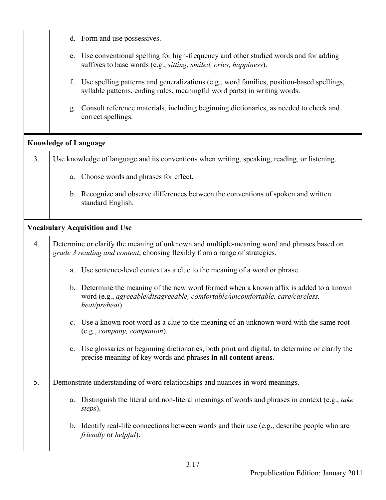|                | d. Form and use possessives.                                                                                                                                                              |
|----------------|-------------------------------------------------------------------------------------------------------------------------------------------------------------------------------------------|
|                | e. Use conventional spelling for high-frequency and other studied words and for adding<br>suffixes to base words (e.g., sitting, smiled, cries, happiness).                               |
|                | Use spelling patterns and generalizations (e.g., word families, position-based spellings,<br>f.<br>syllable patterns, ending rules, meaningful word parts) in writing words.              |
|                | Consult reference materials, including beginning dictionaries, as needed to check and<br>g.<br>correct spellings.                                                                         |
|                | <b>Knowledge of Language</b>                                                                                                                                                              |
| 3 <sub>1</sub> | Use knowledge of language and its conventions when writing, speaking, reading, or listening.                                                                                              |
|                | Choose words and phrases for effect.<br>a.                                                                                                                                                |
|                | b. Recognize and observe differences between the conventions of spoken and written<br>standard English.                                                                                   |
|                | <b>Vocabulary Acquisition and Use</b>                                                                                                                                                     |
| 4.             | Determine or clarify the meaning of unknown and multiple-meaning word and phrases based on<br>grade 3 reading and content, choosing flexibly from a range of strategies.                  |
|                | Use sentence-level context as a clue to the meaning of a word or phrase.<br>a.                                                                                                            |
|                | b. Determine the meaning of the new word formed when a known affix is added to a known<br>word (e.g., agreeable/disagreeable, comfortable/uncomfortable, care/careless,<br>heat/preheat). |
|                | c. Use a known root word as a clue to the meaning of an unknown word with the same root<br>(e.g., company, companion).                                                                    |
|                | Use glossaries or beginning dictionaries, both print and digital, to determine or clarify the<br>$\mathbf{c}$ .<br>precise meaning of key words and phrases in all content areas.         |
| 5.             | Demonstrate understanding of word relationships and nuances in word meanings.                                                                                                             |
|                | Distinguish the literal and non-literal meanings of words and phrases in context (e.g., take<br>a.<br>steps).                                                                             |
|                | b. Identify real-life connections between words and their use (e.g., describe people who are<br><i>friendly</i> or <i>helpful</i> ).                                                      |